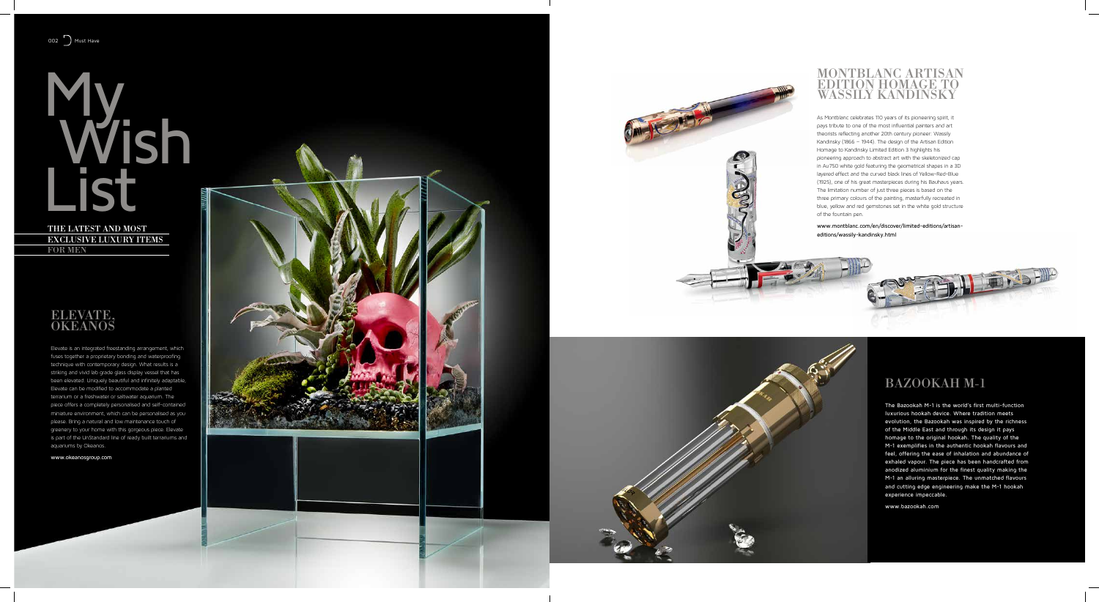# My Wish List

THE LATEST AND MOS t exclusive luxury i tems for men

## ELEVATE,<br>OKEANOS

Elevate is an integrated freestanding arrangement, which fuses together a proprietary bonding and waterproofing technique with contemporary design. What results is a striking and vivid lab grade glass display vessel that has been elevated. Uniquely beautiful and infinitely adaptable, Elevate can be modified to accommodate a planted terrarium or a freshwater or saltwater aquarium. The piece offers a completely personalised and self-contained miniature environment, which can be personalised as you please. Bring a natural and low maintenance touch of greenery to your home with this gorgeous piece. Elevate is part of the UnStandard line of ready built terrariums and aquariums by Okeanos.

www.okeanosgroup.com





#### Bazookah M-1

The Bazookah M-1 is the world's first multi-function luxurious hookah device. Where tradition meets evolution, the Bazookah was inspired by the richness of the Middle East and through its design it pays homage to the original hookah. The quality of the M-1 exemplifies in the authentic hookah flavours and feel, offering the ease of inhalation and abundance of exhaled vapour. The piece has been handcrafted from anodized aluminium for the finest quality making the M-1 an alluring masterpiece. The unmatched flavours and cutting edge engineering make the M-1 hookah experience impeccable.

www.bazookah.com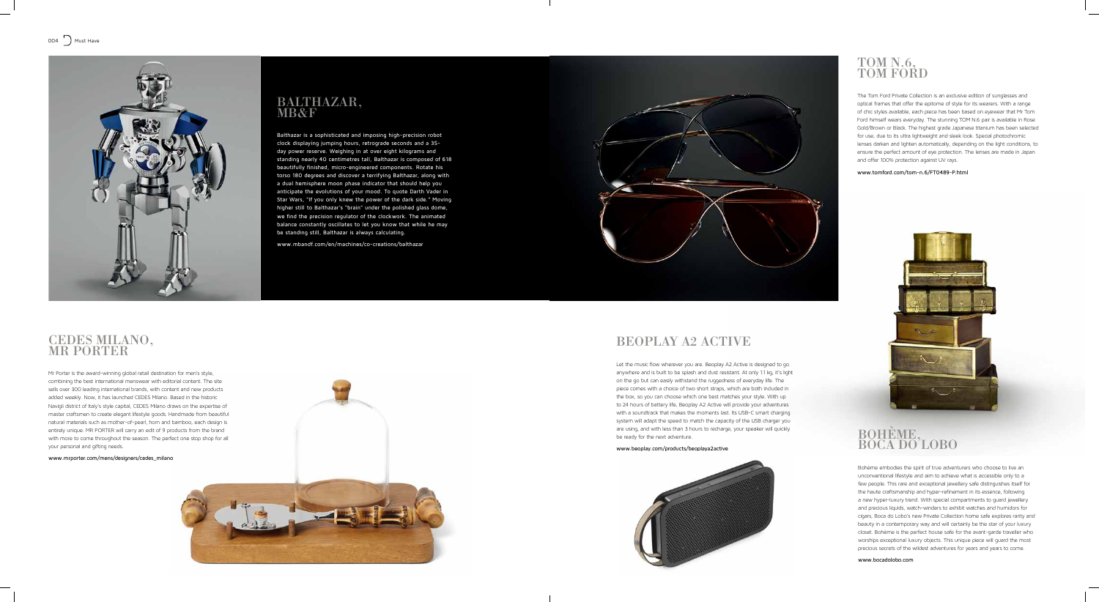## CEDES Milano, Mr Porter

Mr Porter is the award-winning global retail destination for men's style, combining the best international menswear with editorial content. The site sells over 300 leading international brands, with content and new products added weekly. Now, it has launched CEDES Milano. Based in the historic Navigli district of Italy's style capital, CEDES Milano draws on the expertise of master craftsmen to create elegant lifestyle goods. Handmade from beautiful natural materials such as mother-of-pearl, horn and bamboo, each design is entirely unique. MR PORTER will carry an edit of 9 products from the brand with more to come throughout the season. The perfect one stop shop for all your personal and gifting needs.

www.mrporter.com/mens/designers/cedes\_milano





#### BEOPLAY A2 ACTIVE



### Balthazar, MB&F

#### Bohème, BOCA DO LOBO

Balthazar is a sophisticated and imposing high-precision robot clock displaying jumping hours, retrograde seconds and a 35 day power reserve. Weighing in at over eight kilograms and standing nearly 40 centimetres tall, Balthazar is composed of 618 beautifully finished, micro-engineered components. Rotate his torso 180 degrees and discover a terrifying Balthazar, along with a dual hemisphere moon phase indicator that should help you anticipate the evolutions of your mood. To quote Darth Vader in Star Wars, "If you only knew the power of the dark side." Moving higher still to Balthazar's "brain" under the polished glass dome, we find the precision regulator of the clockwork. The animated balance constantly oscillates to let you know that while he may be standing still, Balthazar is always calculating.

www.mbandf.com/en/machines/co-creations/balthazar

The Tom Ford Private Collection is an exclusive edition of sunglasses and optical frames that offer the epitome of style for its wearers. With a range of chic styles available, each piece has been based on eyewear that Mr Tom Ford himself wears everyday. The stunning TOM N.6 pair is available in Rose Gold/Brown or Black. The highest grade Japanese titanium has been selected for use, due to its ultra lightweight and sleek look. Special photochromic lenses darken and lighten automatically, depending on the light conditions, to ensure the perfect amount of eye protection. The lenses are made in Japan and offer 100% protection against UV rays.

#### www.tomford.com/tom-n.6/FT0489-P.html



Bohème embodies the spirit of true adventurers who choose to live an unconventional lifestyle and aim to achieve what is accessible only to a few people. This rare and exceptional jewellery safe distinguishes itself for the haute craftsmanship and hyper-refinement in its essence, following a new hyper-luxury trend. With special compartments to guard jewellery and precious liquids, watch-winders to exhibit watches and humidors for cigars, Boca do Lobo's new Private Collection home safe explores rarity and beauty in a contemporary way and will certainly be the star of your luxury closet. Bohème is the perfect house safe for the avant-garde traveller who worships exceptional luxury objects. This unique piece will guard the most precious secrets of the wildest adventures for years and years to come.

www.bocadolobo.com

Let the music flow wherever you are. Beoplay A2 Active is designed to go anywhere and is built to be splash and dust resistant. At only 1.1 kg, it's light on the go but can easily withstand the ruggedness of everyday life. The piece comes with a choice of two short straps, which are both included in the box, so you can choose which one best matches your style. With up to 24 hours of battery life, Beoplay A2 Active will provide your adventures with a soundtrack that makes the moments last. Its USB-C smart charging system will adapt the speed to match the capacity of the USB charger you are using, and with less than 3 hours to recharge, your speaker will quickly be ready for the next adventure.

www.beoplay.com/products/beoplaya2active



## TOM N.6, TOM FORD